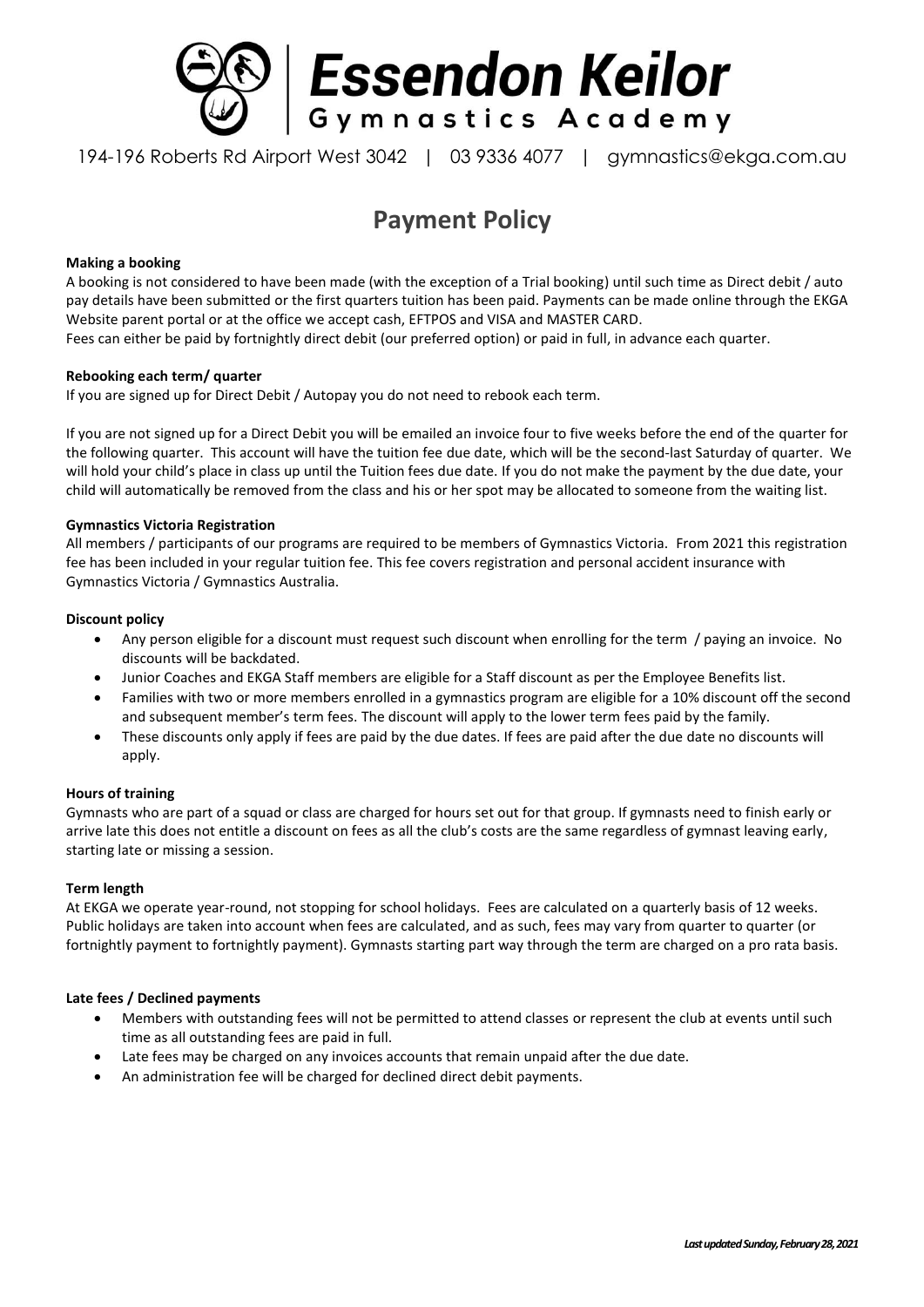

194-196 Roberts Rd Airport West 3042 | 03 9336 4077 | gymnastics@ekga.com.au

# **Payment Policy**

## **Making a booking**

A booking is not considered to have been made (with the exception of a Trial booking) until such time as Direct debit / auto pay details have been submitted or the first quarters tuition has been paid. Payments can be made online through the EKGA Website parent portal or at the office we accept cash, EFTPOS and VISA and MASTER CARD.

Fees can either be paid by fortnightly direct debit (our preferred option) or paid in full, in advance each quarter.

## **Rebooking each term/ quarter**

If you are signed up for Direct Debit / Autopay you do not need to rebook each term.

If you are not signed up for a Direct Debit you will be emailed an invoice four to five weeks before the end of the quarter for the following quarter. This account will have the tuition fee due date, which will be the second-last Saturday of quarter. We will hold your child's place in class up until the Tuition fees due date. If you do not make the payment by the due date, your child will automatically be removed from the class and his or her spot may be allocated to someone from the waiting list.

## **Gymnastics Victoria Registration**

All members / participants of our programs are required to be members of Gymnastics Victoria. From 2021 this registration fee has been included in your regular tuition fee. This fee covers registration and personal accident insurance with Gymnastics Victoria / Gymnastics Australia.

## **Discount policy**

- Any person eligible for a discount must request such discount when enrolling for the term / paying an invoice. No discounts will be backdated.
- Junior Coaches and EKGA Staff members are eligible for a Staff discount as per the Employee Benefits list.
- Families with two or more members enrolled in a gymnastics program are eligible for a 10% discount off the second and subsequent member's term fees. The discount will apply to the lower term fees paid by the family.
- These discounts only apply if fees are paid by the due dates. If fees are paid after the due date no discounts will apply.

## **Hours of training**

Gymnasts who are part of a squad or class are charged for hours set out for that group. If gymnasts need to finish early or arrive late this does not entitle a discount on fees as all the club's costs are the same regardless of gymnast leaving early, starting late or missing a session.

## **Term length**

At EKGA we operate year-round, not stopping for school holidays. Fees are calculated on a quarterly basis of 12 weeks. Public holidays are taken into account when fees are calculated, and as such, fees may vary from quarter to quarter (or fortnightly payment to fortnightly payment). Gymnasts starting part way through the term are charged on a pro rata basis.

# **Late fees / Declined payments**

- Members with outstanding fees will not be permitted to attend classes or represent the club at events until such time as all outstanding fees are paid in full.
- Late fees may be charged on any invoices accounts that remain unpaid after the due date.
- An administration fee will be charged for declined direct debit payments.